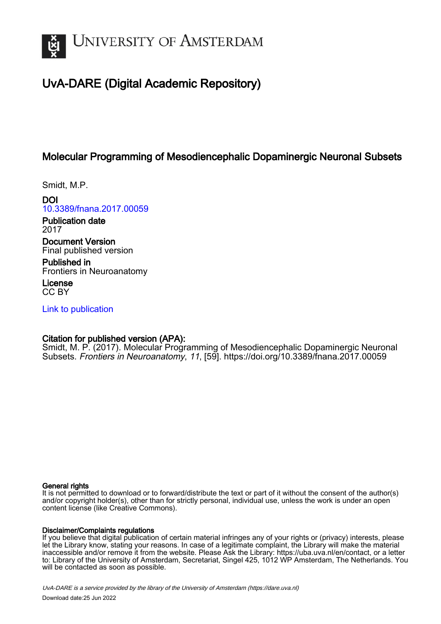

# UvA-DARE (Digital Academic Repository)

## Molecular Programming of Mesodiencephalic Dopaminergic Neuronal Subsets

Smidt, M.P.

DOI [10.3389/fnana.2017.00059](https://doi.org/10.3389/fnana.2017.00059)

Publication date 2017

Document Version Final published version

Published in Frontiers in Neuroanatomy

License CC BY

[Link to publication](https://dare.uva.nl/personal/pure/en/publications/molecular-programming-of-mesodiencephalic-dopaminergic-neuronal-subsets(bcb276db-cd85-4198-9b74-ba8f0b49fe04).html)

## Citation for published version (APA):

Smidt, M. P. (2017). Molecular Programming of Mesodiencephalic Dopaminergic Neuronal Subsets. Frontiers in Neuroanatomy, 11, [59].<https://doi.org/10.3389/fnana.2017.00059>

#### General rights

It is not permitted to download or to forward/distribute the text or part of it without the consent of the author(s) and/or copyright holder(s), other than for strictly personal, individual use, unless the work is under an open content license (like Creative Commons).

#### Disclaimer/Complaints regulations

If you believe that digital publication of certain material infringes any of your rights or (privacy) interests, please let the Library know, stating your reasons. In case of a legitimate complaint, the Library will make the material inaccessible and/or remove it from the website. Please Ask the Library: https://uba.uva.nl/en/contact, or a letter to: Library of the University of Amsterdam, Secretariat, Singel 425, 1012 WP Amsterdam, The Netherlands. You will be contacted as soon as possible.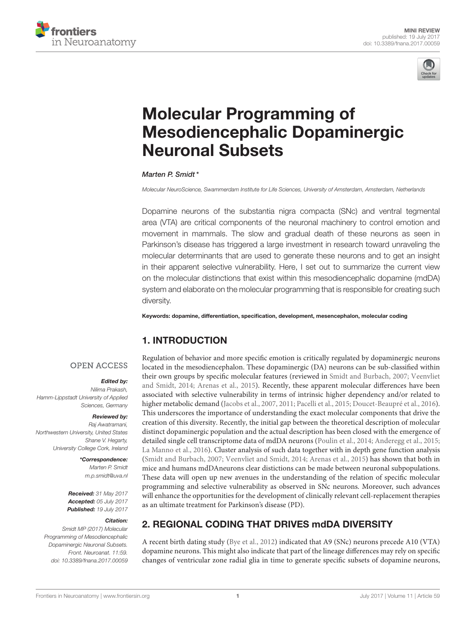



# Molecular Programming of [Mesodiencephalic Dopaminergic](http://journal.frontiersin.org/article/10.3389/fnana.2017.00059/abstract) Neuronal Subsets

#### [Marten P. Smidt](http://loop.frontiersin.org/people/2671/overview)\*

*Molecular NeuroScience, Swammerdam Institute for Life Sciences, University of Amsterdam, Amsterdam, Netherlands*

Dopamine neurons of the substantia nigra compacta (SNc) and ventral tegmental area (VTA) are critical components of the neuronal machinery to control emotion and movement in mammals. The slow and gradual death of these neurons as seen in Parkinson's disease has triggered a large investment in research toward unraveling the molecular determinants that are used to generate these neurons and to get an insight in their apparent selective vulnerability. Here, I set out to summarize the current view on the molecular distinctions that exist within this mesodiencephalic dopamine (mdDA) system and elaborate on the molecular programming that is responsible for creating such diversity.

Keywords: dopamine, differentiation, specification, development, mesencephalon, molecular coding

## 1. INTRODUCTION

#### **OPEN ACCESS**

#### Edited by:

*Nilima Prakash, Hamm-Lippstadt University of Applied Sciences, Germany*

#### Reviewed by:

*Raj Awatramani, Northwestern University, United States Shane V. Hegarty, University College Cork, Ireland*

> \*Correspondence: *Marten P. Smidt [m.p.smidt@uva.nl](mailto:m.p.smidt@uva.nl)*

Received: *31 May 2017* Accepted: *05 July 2017* Published: *19 July 2017*

#### Citation:

*Smidt MP (2017) Molecular Programming of Mesodiencephalic Dopaminergic Neuronal Subsets. Front. Neuroanat. 11:59. doi: [10.3389/fnana.2017.00059](https://doi.org/10.3389/fnana.2017.00059)*

Regulation of behavior and more specific emotion is critically regulated by dopaminergic neurons located in the mesodiencephalon. These dopaminergic (DA) neurons can be sub-classified within their own groups by specific molecular features (reviewed in [Smidt and Burbach, 2007;](#page-7-0) Veenvliet and Smidt, [2014;](#page-7-1) [Arenas et al., 2015\)](#page-6-0). Recently, these apparent molecular differences have been associated with selective vulnerability in terms of intrinsic higher dependency and/or related to higher metabolic demand [\(Jacobs et al., 2007,](#page-6-1) [2011;](#page-6-2) [Pacelli et al., 2015;](#page-7-2) [Doucet-Beaupré et al., 2016\)](#page-6-3). This underscores the importance of understanding the exact molecular components that drive the creation of this diversity. Recently, the initial gap between the theoretical description of molecular distinct dopaminergic population and the actual description has been closed with the emergence of detailed single cell transcriptome data of mdDA neurons [\(Poulin et al., 2014;](#page-7-3) [Anderegg et al., 2015;](#page-6-4) [La Manno et al., 2016\)](#page-6-5). Cluster analysis of such data together with in depth gene function analysis [\(Smidt and Burbach, 2007;](#page-7-0) [Veenvliet and Smidt, 2014;](#page-7-1) [Arenas et al., 2015\)](#page-6-0) has shown that both in mice and humans mdDAneurons clear distictions can be made between neuronal subpopulations. These data will open up new avenues in the understanding of the relation of specific molecular programming and selective vulnerability as observed in SNc neurons. Moreover, such advances will enhance the opportunities for the development of clinically relevant cell-replacement therapies as an ultimate treatment for Parkinson's disease (PD).

## 2. REGIONAL CODING THAT DRIVES mdDA DIVERSITY

A recent birth dating study [\(Bye et al., 2012\)](#page-6-6) indicated that A9 (SNc) neurons precede A10 (VTA) dopamine neurons. This might also indicate that part of the lineage differences may rely on specific changes of ventricular zone radial glia in time to generate specific subsets of dopamine neurons,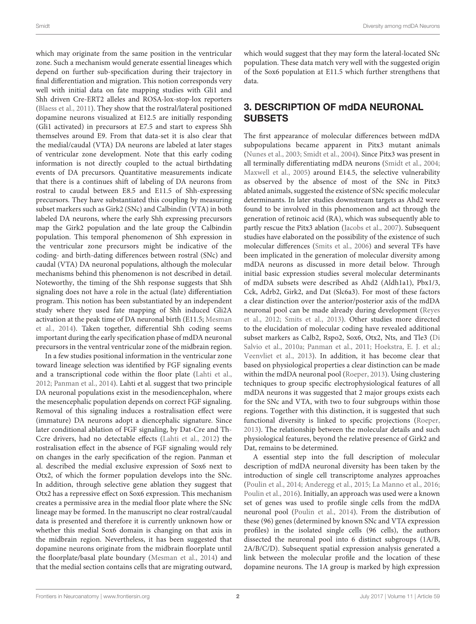which may originate from the same position in the ventricular zone. Such a mechanism would generate essential lineages which depend on further sub-specification during their trajectory in final differentiation and migration. This notion corresponds very well with initial data on fate mapping studies with Gli1 and Shh driven Cre-ERT2 alleles and ROSA-lox-stop-lox reporters [\(Blaess et al., 2011\)](#page-6-7). They show that the rostral/lateral positioned dopamine neurons visualized at E12.5 are initially responding (Gli1 activated) in precursors at E7.5 and start to express Shh themselves around E9. From that data-set it is also clear that the medial/caudal (VTA) DA neurons are labeled at later stages of ventricular zone development. Note that this early coding information is not directly coupled to the actual birthdating events of DA precursors. Quantitative measurements indicate that there is a continues shift of labeling of DA neurons from rostral to caudal between E8.5 and E11.5 of Shh-expressing precursors. They have substantiated this coupling by measuring subset markers such as Girk2 (SNc) and Calbindin (VTA) in both labeled DA neurons, where the early Shh expressing precursors map the Girk2 population and the late group the Calbindin population. This temporal phenomenon of Shh expression in the ventricular zone precursors might be indicative of the coding- and birth-dating differences between rostral (SNc) and caudal (VTA) DA neuronal populations, although the molecular mechanisms behind this phenomenon is not described in detail. Noteworthy, the timing of the Shh response suggests that Shh signaling does not have a role in the actual (late) differentiation program. This notion has been substantiated by an independent study where they used fate mapping of Shh induced Gli2A activation at the peak time of DA neuronal birth (E11.5; Mesman et al., [2014\)](#page-6-8). Taken together, differential Shh coding seems important during the early specification phase of mdDA neuronal precursors in the ventral ventricular zone of the midbrain region.

In a few studies positional information in the ventricular zone toward lineage selection was identified by FGF signaling events and a transcriptional code within the floor plate [\(Lahti et al.,](#page-6-9) [2012;](#page-6-9) [Panman et al., 2014\)](#page-7-4). Lahti et al. suggest that two principle DA neuronal populations exist in the mesodiencephalon, where the mesencephalic population depends on correct FGF signaling. Removal of this signaling induces a rostralisation effect were (immature) DA neurons adopt a diencephalic signature. Since later conditional ablation of FGF signaling, by Dat-Cre and Th-Ccre drivers, had no detectable effects [\(Lahti et al., 2012\)](#page-6-9) the rostralisation effect in the absence of FGF signaling would rely on changes in the early specification of the region. Panman et al. described the medial exclusive expression of Sox6 next to Otx2, of which the former population develops into the SNc. In addition, through selective gene ablation they suggest that Otx2 has a repressive effect on Sox6 expression. This mechanism creates a permissive area in the medial floor plate where the SNc lineage may be formed. In the manuscript no clear rostral/caudal data is presented and therefore it is currently unknown how or whether this medial Sox6 domain is changing on that axis in the midbrain region. Nevertheless, it has been suggested that dopamine neurons originate from the midbrain floorplate until the floorplate/basal plate boundary [\(Mesman et al., 2014\)](#page-6-8) and that the medial section contains cells that are migrating outward, which would suggest that they may form the lateral-located SNc population. These data match very well with the suggested origin of the Sox6 population at E11.5 which further strengthens that data.

### 3. DESCRIPTION OF mdDA NEURONAL SUBSETS

The first appearance of molecular differences between mdDA subpopulations became apparent in Pitx3 mutant animals [\(Nunes et al., 2003;](#page-6-10) [Smidt et al., 2004\)](#page-7-5). Since Pitx3 was present in all terminally differentiating mdDA neurons [\(Smidt et al., 2004;](#page-7-5) [Maxwell et al., 2005\)](#page-6-11) around E14.5, the selective vulnerability as observed by the absence of most of the SNc in Pitx3 ablated animals, suggested the existence of SNc specific molecular determinants. In later studies downstream targets as Ahd2 were found to be involved in this phenomenon and act through the generation of retinoic acid (RA), which was subsequently able to partly rescue the Pitx3 ablation [\(Jacobs et al., 2007\)](#page-6-1). Subsequent studies have elaborated on the possibility of the existence of such molecular differences [\(Smits et al., 2006\)](#page-7-6) and several TFs have been implicated in the generation of molecular diversity among mdDA neurons as discussed in more detail below. Through initial basic expression studies several molecular determinants of mdDA subsets were described as Ahd2 (Aldh1a1), Pbx1/3, Cck, Adrb2, Girk2, and Dat (Slc6a3). For most of these factors a clear distinction over the anterior/posterior axis of the mdDA neuronal pool can be made already during development (Reyes et al., [2012;](#page-7-7) [Smits et al., 2013\)](#page-7-8). Other studies more directed to the elucidation of molecular coding have revealed additional subset markers as Calb2, Rspo2, Sox6, Otx2, Nts, and Tle3 (Di Salvio et al., [2010a;](#page-6-12) [Panman et al., 2011;](#page-7-9) [Hoekstra, E. J. et al.;](#page-6-13) [Veenvliet et al., 2013\)](#page-7-10). In addition, it has become clear that based on physiological properties a clear distinction can be made within the mdDA neuronal pool [\(Roeper, 2013\)](#page-7-11). Using clustering techniques to group specific electrophysiological features of all mdDA neurons it was suggested that 2 major groups exists each for the SNc and VTA, with two to four subgroups within those regions. Together with this distinction, it is suggested that such functional diversity is linked to specific projections [\(Roeper,](#page-7-11) [2013\)](#page-7-11). The relationship between the molecular details and such physiological features, beyond the relative presence of Girk2 and Dat, remains to be determined.

A essential step into the full description of molecular description of mdDA neuronal diversity has been taken by the introduction of single cell transcriptome analyzes approaches [\(Poulin et al., 2014;](#page-7-3) [Anderegg et al., 2015;](#page-6-4) [La Manno et al., 2016;](#page-6-5) [Poulin et al., 2016\)](#page-7-12). Initially, an approach was used were a known set of genes was used to profile single cells from the mdDA neuronal pool [\(Poulin et al., 2014\)](#page-7-3). From the distribution of these (96) genes (determined by known SNc and VTA expression profiles) in the isolated single cells (96 cells), the authors dissected the neuronal pool into 6 distinct subgroups (1A/B, 2A/B/C/D). Subsequent spatial expression analysis generated a link between the molecular profile and the location of these dopamine neurons. The 1A group is marked by high expression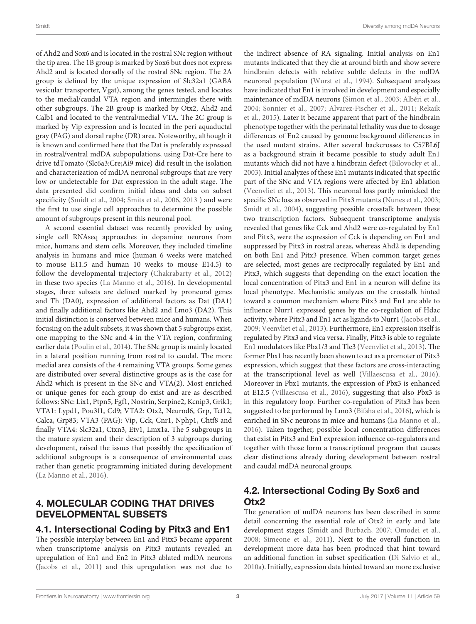of Ahd2 and Sox6 and is located in the rostral SNc region without the tip area. The 1B group is marked by Sox6 but does not express Ahd2 and is located dorsally of the rostral SNc region. The 2A group is defined by the unique expression of Slc32a1 (GABA vesicular transporter, Vgat), among the genes tested, and locates to the medial/caudal VTA region and intermingles there with other subgroups. The 2B group is marked by Otx2, Ahd2 and Calb1 and located to the ventral/medial VTA. The 2C group is marked by Vip expression and is located in the peri aquaductal gray (PAG) and dorsal raphe (DR) area. Noteworthy, although it is known and confirmed here that the Dat is preferably expressed in rostral/ventral mdDA subpopulations, using Dat-Cre here to drive tdTomato (Slc6a3:Cre;Ai9 mice) did result in the isolation and characterization of mdDA neuronal subgroups that are very low or undetectable for Dat expression in the adult stage. The data presented did confirm initial ideas and data on subset specificity [\(Smidt et al., 2004;](#page-7-5) [Smits et al., 2006,](#page-7-6) [2013](#page-7-8) ) and were the first to use single cell approaches to determine the possible amount of subgroups present in this neuronal pool.

A second essential dataset was recently provided by using single cell RNAseq approaches in dopamine neurons from mice, humans and stem cells. Moreover, they included timeline analysis in humans and mice (human 6 weeks were matched to mouse E11.5 and human 10 weeks to mouse E14.5) to follow the developmental trajectory [\(Chakrabarty et al., 2012\)](#page-6-14) in these two species [\(La Manno et al., 2016\)](#page-6-5). In developmental stages, three subsets are defined marked by proneural genes and Th (DA0), expression of additional factors as Dat (DA1) and finally additional factors like Ahd2 and Lmo3 (DA2). This initial distinction is conserved between mice and humans. When focusing on the adult subsets, it was shown that 5 subgroups exist, one mapping to the SNc and 4 in the VTA region, confirming earlier data [\(Poulin et al., 2014\)](#page-7-3). The SNc group is mainly located in a lateral position running from rostral to caudal. The more medial area consists of the 4 remaining VTA groups. Some genes are distributed over several distinctive groups as is the case for Ahd2 which is present in the SNc and VTA(2). Most enriched or unique genes for each group do exist and are as described follows: SNc: Lix1, Ptpn5, Fgf1, Nostrin, Serpine2, Kcnip3, Grik1; VTA1: Lypd1, Pou3f1, Cd9; VTA2: Otx2, Neurod6, Grp, Tcf12, Calca, Grp83; VTA3 (PAG): Vip, Cck, Cnr1, Nphp1, Chtf8 and finally VTA4: Slc32a1, Ctxn3, Etv1, Lmx1a. The 5 subgroups in the mature system and their description of 3 subgroups during development, raised the issues that possibly the specification of additional subgroups is a consequence of environmental cues rather than genetic programming initiated during development [\(La Manno et al., 2016\)](#page-6-5).

#### 4. MOLECULAR CODING THAT DRIVES DEVELOPMENTAL SUBSETS

#### 4.1. Intersectional Coding by Pitx3 and En1

The possible interplay between En1 and Pitx3 became apparent when transcriptome analysis on Pitx3 mutants revealed an upregulation of En1 and En2 in Pitx3 ablated mdDA neurons [\(Jacobs et al., 2011\)](#page-6-2) and this upregulation was not due to

the indirect absence of RA signaling. Initial analysis on En1 mutants indicated that they die at around birth and show severe hindbrain defects with relative subtle defects in the mdDA neuronal population [\(Wurst et al., 1994\)](#page-7-13). Subsequent analyzes have indicated that En1 is involved in development and especially maintenance of mdDA neurons [\(Simon et al., 2003;](#page-7-14) [Albéri et al.,](#page-6-15) [2004;](#page-6-15) [Sonnier et al., 2007;](#page-7-15) [Alvarez-Fischer et al., 2011;](#page-6-16) Rekaik et al., [2015\)](#page-7-16). Later it became apparent that part of the hindbrain phenotype together with the perinatal lethality was due to dosage differences of En2 caused by genome background differences in the used mutant strains. After several backcrosses to C57BL6J as a background strain it became possible to study adult En1 mutants which did not have a hindbrain defect [\(Bilovocky et al.,](#page-6-17) [2003\)](#page-6-17). Initial analyzes of these En1 mutants indicated that specific part of the SNc and VTA regions were affected by En1 ablation [\(Veenvliet et al., 2013\)](#page-7-10). This neuronal loss partly mimicked the specific SNc loss as observed in Pitx3 mutants [\(Nunes et al., 2003;](#page-6-10) [Smidt et al., 2004\)](#page-7-5), suggesting possible crosstalk between these two transcription factors. Subsequent transcriptome analysis revealed that genes like Cck and Ahd2 were co-regulated by En1 and Pitx3, were the expression of Cck is depending on En1 and suppressed by Pitx3 in rostral areas, whereas Ahd2 is depending on both En1 and Pitx3 presence. When common target genes are selected, most genes are reciprocally regulated by En1 and Pitx3, which suggests that depending on the exact location the local concentration of Pitx3 and En1 in a neuron will define its local phenotype. Mechanistic analyzes on the crosstalk hinted toward a common mechanism where Pitx3 and En1 are able to influence Nurr1 expressed genes by the co-regulation of Hdac activity, where Pitx3 and En1 act as ligands to Nurr1 [\(Jacobs et al.,](#page-6-18) [2009;](#page-6-18) [Veenvliet et al., 2013\)](#page-7-10). Furthermore, En1 expression itself is regulated by Pitx3 and vica versa. Finally, Pitx3 is able to regulate En1 modulators like Pbx1/3 and Tle3 [\(Veenvliet et al., 2013\)](#page-7-10). The former Pbx1 has recently been shown to act as a promoter of Pitx3 expression, which suggest that these factors are cross-interacting at the transcriptional level as well [\(Villaescusa et al., 2016\)](#page-7-17). Moreover in Pbx1 mutants, the expression of Pbx3 is enhanced at E12.5 [\(Villaescusa et al., 2016\)](#page-7-17), suggesting that also Pbx3 is in this regulatory loop. Further co-regulation of Pitx3 has been suggested to be performed by Lmo3 [\(Bifsha et al., 2016\)](#page-6-19), which is enriched in SNc neurons in mice and humans [\(La Manno et al.,](#page-6-5) [2016\)](#page-6-5). Taken together, possible local concentration differences that exist in Pitx3 and En1 expression influence co-regulators and together with those form a transcriptional program that causes clear distinctions already during development between rostral and caudal mdDA neuronal groups.

## 4.2. Intersectional Coding By Sox6 and Otx2

The generation of mdDA neurons has been described in some detail concerning the essential role of Otx2 in early and late development stages [\(Smidt and Burbach, 2007;](#page-7-0) [Omodei et al.,](#page-7-18) [2008;](#page-7-18) [Simeone et al., 2011\)](#page-7-19). Next to the overall function in development more data has been produced that hint toward an additional function in subset specification [\(Di Salvio et al.,](#page-6-12) [2010a\)](#page-6-12). Initially, expression data hinted toward an more exclusive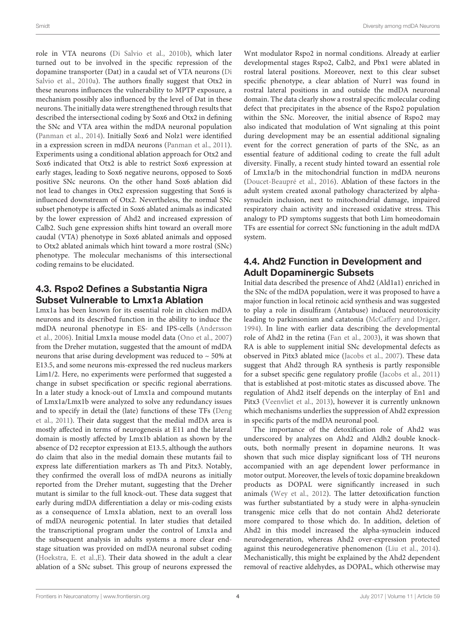role in VTA neurons [\(Di Salvio et al., 2010b\)](#page-6-20), which later turned out to be involved in the specific repression of the dopamine transporter (Dat) in a caudal set of VTA neurons (Di Salvio et al., [2010a\)](#page-6-12). The authors finally suggest that Otx2 in these neurons influences the vulnerability to MPTP exposure, a mechanism possibly also influenced by the level of Dat in these neurons. The initially data were strengthened through results that described the intersectional coding by Sox6 and Otx2 in defining the SNc and VTA area within the mdDA neuronal population [\(Panman et al., 2014\)](#page-7-4). Initially Sox6 and Nolz1 were identified in a expression screen in mdDA neurons [\(Panman et al., 2011\)](#page-7-9). Experiments using a conditional ablation approach for Otx2 and Sox6 indicated that Otx2 is able to restrict Sox6 expression at early stages, leading to Sox6 negative neurons, opposed to Sox6 positive SNc neurons. On the other hand Sox6 ablation did not lead to changes in Otx2 expression suggesting that Sox6 is influenced downstream of Otx2. Nevertheless, the normal SNc subset phenotype is affected in Sox6 ablated animals as indicated by the lower expression of Ahd2 and increased expression of Calb2. Such gene expression shifts hint toward an overall more caudal (VTA) phenotype in Sox6 ablated animals and opposed to Otx2 ablated animals which hint toward a more rostral (SNc) phenotype. The molecular mechanisms of this intersectional coding remains to be elucidated.

## 4.3. Rspo2 Defines a Substantia Nigra Subset Vulnerable to Lmx1a Ablation

Lmx1a has been known for its essential role in chicken mdDA neurons and its described function in the ability to induce the mdDA neuronal phenotype in ES- and IPS-cells (Andersson et al., [2006\)](#page-6-21). Initial Lmx1a mouse model data [\(Ono et al., 2007\)](#page-7-20) from the Dreher mutation, suggested that the amount of mdDA neurons that arise during development was reduced to  $\sim$  50% at E13.5, and some neurons mis-expressed the red nucleus markers Lim1/2. Here, no experiments were performed that suggested a change in subset specification or specific regional aberrations. In a later study a knock-out of Lmx1a and compound mutants of Lmx1a/Lmx1b were analyzed to solve any redundancy issues and to specify in detail the (late) functions of these TFs (Deng et al., [2011\)](#page-6-22). Their data suggest that the medial mdDA area is mostly affected in terms of neurogenesis at E11 and the lateral domain is mostly affected by Lmx1b ablation as shown by the absence of D2 receptor expression at E13.5, although the authors do claim that also in the medial domain these mutants fail to express late differentiation markers as Th and Pitx3. Notably, they confirmed the overall loss of mdDA neurons as initially reported from the Dreher mutant, suggesting that the Dreher mutant is similar to the full knock-out. These data suggest that early during mdDA differentiation a delay or mis-coding exists as a consequence of Lmx1a ablation, next to an overall loss of mdDA neurogenic potential. In later studies that detailed the transcriptional program under the control of Lmx1a and the subsequent analysis in adults systems a more clear endstage situation was provided on mdDA neuronal subset coding [\(Hoekstra, E. et al.,](#page-6-23)[E\)](#page-6-13). Their data showed in the adult a clear ablation of a SNc subset. This group of neurons expressed the Wnt modulator Rspo2 in normal conditions. Already at earlier developmental stages Rspo2, Calb2, and Pbx1 were ablated in rostral lateral positions. Moreover, next to this clear subset specific phenotype, a clear ablation of Nurr1 was found in rostral lateral positions in and outside the mdDA neuronal domain. The data clearly show a rostral specific molecular coding defect that precipitates in the absence of the Rspo2 population within the SNc. Moreover, the initial absence of Rspo2 may also indicated that modulation of Wnt signaling at this point during development may be an essential additional signaling event for the correct generation of parts of the SNc, as an essential feature of additional coding to create the full adult diversity. Finally, a recent study hinted toward an essential role of Lmx1a/b in the mitochondrial function in mdDA neurons [\(Doucet-Beaupré et al., 2016\)](#page-6-3). Ablation of these factors in the adult system created axonal pathology characterized by alphasynuclein inclusion, next to mitochondrial damage, impaired respiratory chain activity and increased oxidative stress. This analogy to PD symptoms suggests that both Lim homeodomain TFs are essential for correct SNc functioning in the adult mdDA system.

### 4.4. Ahd2 Function in Development and Adult Dopaminergic Subsets

Initial data described the presence of Ahd2 (Ald1a1) enriched in the SNc of the mdDA population, were it was proposed to have a major function in local retinoic acid synthesis and was suggested to play a role in disulfiram (Antabuse) induced neurotoxicity leading to parkinsonism and catatonia [\(McCaffery and Dräger,](#page-6-24) [1994\)](#page-6-24). In line with earlier data describing the developmental role of Ahd2 in the retina [\(Fan et al., 2003\)](#page-6-25), it was shown that RA is able to supplement initial SNc developmental defects as observed in Pitx3 ablated mice [\(Jacobs et al., 2007\)](#page-6-1). These data suggest that Ahd2 through RA synthesis is partly responsible for a subset specific gene regulatory profile [\(Jacobs et al., 2011\)](#page-6-2) that is established at post-mitotic states as discussed above. The regulation of Ahd2 itself depends on the interplay of En1 and Pitx3 [\(Veenvliet et al., 2013\)](#page-7-10), however it is currently unknown which mechanisms underlies the suppression of Ahd2 expression in specific parts of the mdDA neuronal pool.

The importance of the detoxification role of Ahd2 was underscored by analyzes on Ahd2 and Aldh2 double knockouts, both normally present in dopamine neurons. It was shown that such mice display significant loss of TH neurons accompanied with an age dependent lower performance in motor output. Moreover, the levels of toxic dopamine breakdown products as DOPAL were significantly increased in such animals [\(Wey et al., 2012\)](#page-7-21). The latter detoxification function was further substantiated by a study were in alpha-synuclein transgenic mice cells that do not contain Ahd2 deteriorate more compared to those which do. In addition, deletion of Ahd2 in this model increased the alpha-synuclein induced neurodegeneration, whereas Ahd2 over-expression protected against this neurodegenerative phenomenon [\(Liu et al., 2014\)](#page-6-26). Mechanistically, this might be explained by the Ahd2 dependent removal of reactive aldehydes, as DOPAL, which otherwise may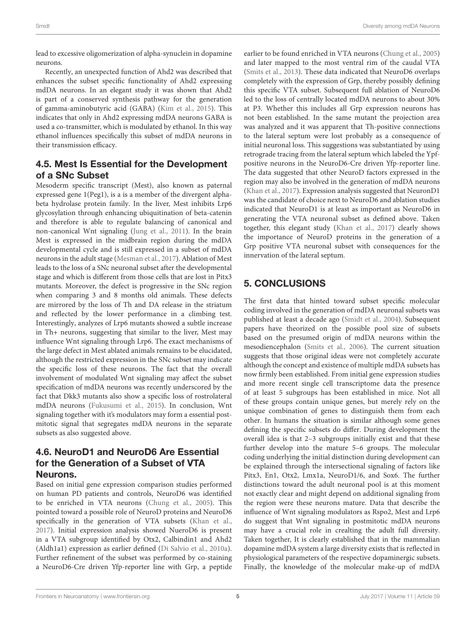lead to excessive oligomerization of alpha-synuclein in dopamine neurons.

Recently, an unexpected function of Ahd2 was described that enhances the subset specific functionality of Ahd2 expressing mdDA neurons. In an elegant study it was shown that Ahd2 is part of a conserved synthesis pathway for the generation of gamma-aminobutyric acid (GABA) [\(Kim et al., 2015\)](#page-6-27). This indicates that only in Ahd2 expressing mdDA neurons GABA is used a co-transmitter, which is modulated by ethanol. In this way ethanol influences specifically this subset of mdDA neurons in their transmission efficacy.

## 4.5. Mest Is Essential for the Development of a SNc Subset

Mesoderm specific transcript (Mest), also known as paternal expressed gene 1(Peg1), is a is a member of the divergent alphabeta hydrolase protein family. In the liver, Mest inhibits Lrp6 glycosylation through enhancing ubiquitination of beta-catenin and therefore is able to regulate balancing of canonical and non-canonical Wnt signaling [\(Jung et al., 2011\)](#page-6-28). In the brain Mest is expressed in the midbrain region during the mdDA developmental cycle and is still expressed in a subset of mdDA neurons in the adult stage [\(Mesman et al., 2017\)](#page-6-29). Ablation of Mest leads to the loss of a SNc neuronal subset after the developmental stage and which is different from those cells that are lost in Pitx3 mutants. Moreover, the defect is progressive in the SNc region when comparing 3 and 8 months old animals. These defects are mirrored by the loss of Th and DA release in the striatum and reflected by the lower performance in a climbing test. Interestingly, analyzes of Lrp6 mutants showed a subtle increase in Th+ neurons, suggesting that similar to the liver, Mest may influence Wnt signaling through Lrp6. The exact mechanisms of the large defect in Mest ablated animals remains to be elucidated, although the restricted expression in the SNc subset may indicate the specific loss of these neurons. The fact that the overall involvement of modulated Wnt signaling may affect the subset specification of mdDA neurons was recently underscored by the fact that Dkk3 mutants also show a specific loss of rostrolateral mdDA neurons [\(Fukusumi et al., 2015\)](#page-6-30). In conclusion, Wnt signaling together with it's modulators may form a essential postmitotic signal that segregates mdDA neurons in the separate subsets as also suggested above.

## 4.6. NeuroD1 and NeuroD6 Are Essential for the Generation of a Subset of VTA Neurons.

Based on initial gene expression comparison studies performed on human PD patients and controls, NeuroD6 was identified to be enriched in VTA neurons [\(Chung et al., 2005\)](#page-6-31). This pointed toward a possible role of NeuroD proteins and NeuroD6 specifically in the generation of VTA subsets [\(Khan et al.,](#page-6-32) [2017\)](#page-6-32). Initial expression analysis showed NueroD6 is present in a VTA subgroup identified by Otx2, Calbindin1 and Ahd2 (Aldh1a1) expression as earlier defined [\(Di Salvio et al., 2010a\)](#page-6-12). Further refinement of the subset was performed by co-staining a NeuroD6-Cre driven Yfp-reporter line with Grp, a peptide earlier to be found enriched in VTA neurons [\(Chung et al., 2005\)](#page-6-31) and later mapped to the most ventral rim of the caudal VTA [\(Smits et al., 2013\)](#page-7-8). These data indicated that NeuroD6 overlaps completely with the expression of Grp, thereby possibly defining this specific VTA subset. Subsequent full ablation of NeuroD6 led to the loss of centrally located mdDA neurons to about 30% at P3. Whether this includes all Grp expression neurons has not been established. In the same mutant the projection area was analyzed and it was apparent that Th-positive connections to the lateral septum were lost probably as a consequence of initial neuronal loss. This suggestions was substantiated by using retrograde tracing from the lateral septum which labeled the Ypfpositive neurons in the NeuroD6-Cre driven Yfp-reporter line. The data suggested that other NeuroD factors expressed in the region may also be involved in the generation of mdDA neurons [\(Khan et al., 2017\)](#page-6-32). Expression analysis suggested that NeuronD1 was the candidate of choice next to NeuroD6 and ablation studies indicated that NeuroD1 is at least as important as NeuroD6 in generating the VTA neuronal subset as defined above. Taken together, this elegant study [\(Khan et al., 2017\)](#page-6-32) clearly shows the importance of NeuroD proteins in the generation of a Grp positive VTA neuronal subset with consequences for the innervation of the lateral septum.

## 5. CONCLUSIONS

The first data that hinted toward subset specific molecular coding involved in the generation of mdDA neuronal subsets was published at least a decade ago [\(Smidt et al., 2004\)](#page-7-5). Subsequent papers have theorized on the possible pool size of subsets based on the presumed origin of mdDA neurons within the mesodiencephalon [\(Smits et al., 2006\)](#page-7-6). The current situation suggests that those original ideas were not completely accurate although the concept and existence of multiple mdDA subsets has now firmly been established. From initial gene expression studies and more recent single cell transcriptome data the presence of at least 5 subgroups has been established in mice. Not all of these groups contain unique genes, but merely rely on the unique combination of genes to distinguish them from each other. In humans the situation is similar although some genes defining the specific subsets do differ. During development the overall idea is that 2–3 subgroups initially exist and that these further develop into the mature 5–6 groups. The molecular coding underlying the initial distinction during development can be explained through the intersectional signaling of factors like Pitx3, En1, Otx2, Lmx1a, NeuroD1/6, and Sox6. The further distinctions toward the adult neuronal pool is at this moment not exactly clear and might depend on additional signaling from the region were these neurons mature. Data that describe the influence of Wnt signaling modulators as Rspo2, Mest and Lrp6 do suggest that Wnt signaling in postmitotic mdDA neurons may have a crucial role in crealting the adult full diversity. Taken together, It is clearly established that in the mammalian dopamine mdDA system a large diversity exists that is reflected in physiological parameters of the respective dopaminergic subsets. Finally, the knowledge of the molecular make-up of mdDA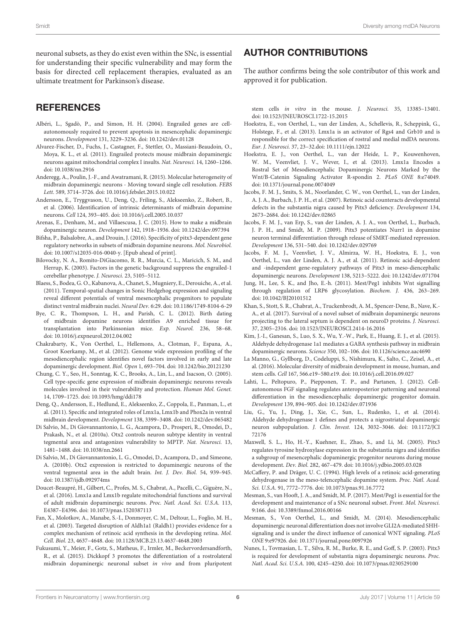neuronal subsets, as they do exist even within the SNc, is essential for understanding their specific vulnerability and may form the basis for directed cell replacement therapies, evaluated as an ultimate treatment for Parkinson's disease.

#### **REFERENCES**

- <span id="page-6-15"></span>Albéri, L., Sgadò, P., and Simon, H. H. (2004). Engrailed genes are cellautonomously required to prevent apoptosis in mesencephalic dopaminergic neurons. Development 131, 3229–3236. doi: [10.1242/dev.01128](https://doi.org/10.1242/dev.01128)
- <span id="page-6-16"></span>Alvarez-Fischer, D., Fuchs, J., Castagner, F., Stettler, O., Massiani-Beaudoin, O., Moya, K. L., et al. (2011). Engrailed protects mouse midbrain dopaminergic neurons against mitochondrial complex I insults. Nat. Neurosci. 14, 1260–1266. doi: [10.1038/nn.2916](https://doi.org/10.1038/nn.2916)
- <span id="page-6-4"></span>Anderegg, A., Poulin, J.-F., and Awatramani, R. (2015). Molecular heterogeneity of midbrain dopaminergic neurons - Moving toward single cell resolution. FEBS Lett. 589, 3714–3726. doi: [10.1016/j.febslet.2015.10.022](https://doi.org/10.1016/j.febslet.2015.10.022)
- <span id="page-6-21"></span>Andersson, E., Tryggvason, U., Deng, Q., Friling, S., Alekseenko, Z., Robert, B., et al. (2006). Identification of intrinsic determinants of midbrain dopamine neurons. Cell 124, 393–405. doi: [10.1016/j.cell.2005.10.037](https://doi.org/10.1016/j.cell.2005.10.037)
- <span id="page-6-0"></span>Arenas, E., Denham, M., and Villaescusa, J. C. (2015). How to make a midbrain dopaminergic neuron. Development 142, 1918–1936. doi: [10.1242/dev.097394](https://doi.org/10.1242/dev.097394)
- <span id="page-6-19"></span>Bifsha, P., Balsalobre, A., and Drouin, J. (2016). Specificity of pitx3-dependent gene regulatory networks in subsets of midbrain dopamine neurons. Mol. Neurobiol. doi: [10.1007/s12035-016-0040-y.](https://doi.org/10.1007/s12035-016-0040-y) [Epub ahead of print].
- <span id="page-6-17"></span>Bilovocky, N. A., Romito-DiGiacomo, R. R., Murcia, C. L., Maricich, S. M., and Herrup, K. (2003). Factors in the genetic background suppress the engrailed-1 cerebellar phenotype. J. Neurosci. 23, 5105–5112.
- <span id="page-6-7"></span>Blaess, S., Bodea, G. O., Kabanova, A., Chanet, S., Mugniery, E., Derouiche, A., et al. (2011). Temporal-spatial changes in Sonic Hedgehog expression and signaling reveal different potentials of ventral mesencephalic progenitors to populate distinct ventral midbrain nuclei. Neural Dev. 6:29. doi: [10.1186/1749-8104-6-29](https://doi.org/10.1186/1749-8104-6-29)
- <span id="page-6-6"></span>Bye, C. R., Thompson, L. H., and Parish, C. L. (2012). Birth dating of midbrain dopamine neurons identifies A9 enriched tissue for transplantation into Parkinsonian mice. Exp. Neurol. 236, 58–68. doi: [10.1016/j.expneurol.2012.04.002](https://doi.org/10.1016/j.expneurol.2012.04.002)
- <span id="page-6-14"></span>Chakrabarty, K., Von Oerthel, L., Hellemons, A., Clotman, F., Espana, A., Groot Koerkamp, M., et al. (2012). Genome wide expression profiling of the mesodiencephalic region identifies novel factors involved in early and late dopaminergic development. Biol. Open 1, 693–704. doi: [10.1242/bio.20121230](https://doi.org/10.1242/bio.20121230)
- <span id="page-6-31"></span>Chung, C. Y., Seo, H., Sonntag, K. C., Brooks, A., Lin, L., and Isacson, O. (2005). Cell type-specific gene expression of midbrain dopaminergic neurons reveals molecules involved in their vulnerability and protection. Human Mol. Genet. 14, 1709–1725. doi: [10.1093/hmg/ddi178](https://doi.org/10.1093/hmg/ddi178)
- <span id="page-6-22"></span>Deng, Q., Andersson, E., Hedlund, E., Alekseenko, Z., Coppola, E., Panman, L., et al. (2011). Specific and integrated roles of Lmx1a, Lmx1b and Phox2a in ventral midbrain development. Development 138, 3399–3408. doi: [10.1242/dev.065482](https://doi.org/10.1242/dev.065482)
- <span id="page-6-12"></span>Di Salvio, M., Di Giovannantonio, L. G., Acampora, D., Prosperi, R., Omodei, D., Prakash, N., et al. (2010a). Otx2 controls neuron subtype identity in ventral tegmental area and antagonizes vulnerability to MPTP. Nat. Neurosci. 13, 1481–1488. doi: [10.1038/nn.2661](https://doi.org/10.1038/nn.2661)
- <span id="page-6-20"></span>Di Salvio, M., Di Giovannantonio, L. G., Omodei, D., Acampora, D., and Simeone, A. (2010b). Otx2 expression is restricted to dopaminergic neurons of the ventral tegmental area in the adult brain. Int. J. Dev. Biol. 54, 939–945. doi: [10.1387/ijdb.092974ms](https://doi.org/10.1387/ijdb.092974ms)
- <span id="page-6-3"></span>Doucet-Beaupré, H., Gilbert, C., Profes, M. S., Chabrat, A., Pacelli, C., Giguère, N., et al. (2016). Lmx1a and Lmx1b regulate mitochondrial functions and survival of adult midbrain dopaminergic neurons. Proc. Natl. Acad. Sci. U.S.A. 113, E4387–E4396. doi: [10.1073/pnas.1520387113](https://doi.org/10.1073/pnas.1520387113)
- <span id="page-6-25"></span>Fan, X., Molotkov, A., Manabe, S.-I., Donmoyer, C. M., Deltour, L., Foglio, M. H., et al. (2003). Targeted disruption of Aldh1a1 (Raldh1) provides evidence for a complex mechanism of retinoic acid synthesis in the developing retina. Mol. Cell. Biol. 23, 4637–4648. doi: [10.1128/MCB.23.13.4637-4648.2003](https://doi.org/10.1128/MCB.23.13.4637-4648.2003)
- <span id="page-6-30"></span>Fukusumi, Y., Meier, F., Gotz, S., Matheus, F., Irmler, M., Beckervordersandforth, R., et al. (2015). Dickkopf 3 promotes the differentiation of a rostrolateral midbrain dopaminergic neuronal subset in vivo and from pluripotent

#### AUTHOR CONTRIBUTIONS

The author confirms being the sole contributor of this work and approved it for publication.

stem cells in vitro in the mouse. J. Neurosci. 35, 13385–13401. doi: [10.1523/JNEUROSCI.1722-15.2015](https://doi.org/10.1523/JNEUROSCI.1722-15.2015)

- <span id="page-6-23"></span>Hoekstra, E., von Oerthel, L., van der Linden, A., Schellevis, R., Scheppink, G., Holstege, F., et al. (2013). Lmx1a is an activator of Rgs4 and Grb10 and is responsible for the correct specification of rostral and medial mdDA neurons. Eur. J. Neurosci. 37, 23–32.doi: [10.1111/ejn.12022](https://doi.org/10.1111/ejn.12022)
- <span id="page-6-13"></span>Hoekstra, E. J., von Oerthel, L., van der Heide, L. P., Kouwenhoven, W. M., Veenvliet, J. V., Wever, I., et al. (2013). Lmx1a Encodes a Rostral Set of Mesodiencephalic Dopaminergic Neurons Marked by the Wnt/B-Catenin Signaling Activator R-spondin 2. PLoS ONE 8:e74049. doi: [10.1371/journal.pone.0074049](https://doi.org/10.1371/journal.pone.0074049)
- <span id="page-6-1"></span>Jacobs, F. M. J., Smits, S. M., Noorlander, C. W., von Oerthel, L., van der Linden, A. J. A., Burbach, J. P. H., et al. (2007). Retinoic acid counteracts developmental defects in the substantia nigra caused by Pitx3 deficiency. Development 134, 2673–2684. doi: [10.1242/dev.02865](https://doi.org/10.1242/dev.02865)
- <span id="page-6-18"></span>Jacobs, F. M. J., van Erp, S., van der Linden, A. J. A., von Oerthel, L., Burbach, J. P. H., and Smidt, M. P. (2009). Pitx3 potentiates Nurr1 in dopamine neuron terminal differentiation through release of SMRT-mediated repression. Development 136, 531–540. doi: [10.1242/dev.029769](https://doi.org/10.1242/dev.029769)
- <span id="page-6-2"></span>Jacobs, F. M. J., Veenvliet, J. V., Almirza, W. H., Hoekstra, E. J., von Oerthel, L., van der Linden, A. J. A., et al. (2011). Retinoic acid-dependent and -independent gene-regulatory pathways of Pitx3 in meso-diencephalic dopaminergic neurons. Development 138, 5213–5222. doi: [10.1242/dev.071704](https://doi.org/10.1242/dev.071704)
- <span id="page-6-28"></span>Jung, H., Lee, S. K., and Jho, E.-h. (2011). Mest/Peg1 inhibits Wnt signalling through regulation of LRP6 glycosylation. Biochem. J. 436, 263–269. doi: [10.1042/BJ20101512](https://doi.org/10.1042/BJ20101512)
- <span id="page-6-32"></span>Khan, S., Stott, S. R., Chabrat, A., Truckenbrodt, A. M., Spencer-Dene, B., Nave, K.- A., et al. (2017). Survival of a novel subset of midbrain dopaminergic neurons projecting to the lateral septum is dependent on neuroD proteins. J. Neurosci. 37, 2305–2316. doi: [10.1523/JNEUROSCI.2414-16.2016](https://doi.org/10.1523/JNEUROSCI.2414-16.2016)
- <span id="page-6-27"></span>Kim, J.-I., Ganesan, S., Luo, S. X., Wu, Y.-W., Park, E., Huang, E. J., et al. (2015). Aldehyde dehydrogenase 1a1 mediates a GABA synthesis pathway in midbrain dopaminergic neurons. Science 350, 102–106. doi: [10.1126/science.aac4690](https://doi.org/10.1126/science.aac4690)
- <span id="page-6-5"></span>La Manno, G., Gyllborg, D., Codeluppi, S., Nishimura, K., Salto, C., Zeisel, A., et al. (2016). Molecular diversity of midbrain development in mouse, human, and stem cells. Cell 167, 566.e19–580.e19. doi: [10.1016/j.cell.2016.09.027](https://doi.org/10.1016/j.cell.2016.09.027)
- <span id="page-6-9"></span>Lahti, L., Peltopuro, P., Piepponen, T. P., and Partanen, J. (2012). Cellautonomous FGF signaling regulates anteroposterior patterning and neuronal differentiation in the mesodiencephalic dopaminergic progenitor domain. Development 139, 894–905. doi: [10.1242/dev.071936](https://doi.org/10.1242/dev.071936)
- <span id="page-6-26"></span>Liu, G., Yu, J., Ding, J., Xie, C., Sun, L., Rudenko, I., et al. (2014). Aldehyde dehydrogenase 1 defines and protects a nigrostriatal dopaminergic neuron subpopulation. J. Clin. Invest. [124, 3032–3046. doi: 10.1172/JCI](https://doi.org/10.1172/JCI72176) 72176
- <span id="page-6-11"></span>Maxwell, S. L., Ho, H.-Y., Kuehner, E., Zhao, S., and Li, M. (2005). Pitx3 regulates tyrosine hydroxylase expression in the substantia nigra and identifies a subgroup of mesencephalic dopaminergic progenitor neurons during mouse development. Dev. Biol. 282, 467–479. doi: [10.1016/j.ydbio.2005.03.028](https://doi.org/10.1016/j.ydbio.2005.03.028)
- <span id="page-6-24"></span>McCaffery, P. and Dräger, U. C. (1994). High levels of a retinoic acid-generating dehydrogenase in the meso-telencephalic dopamine system. Proc. Natl. Acad. Sci. U.S.A. 91, 7772–7776. doi: [10.1073/pnas.91.16.7772](https://doi.org/10.1073/pnas.91.16.7772)
- <span id="page-6-29"></span>Mesman, S., van Hooft, J. A., and Smidt, M. P. (2017). Mest/Peg1 is essential for the development and maintenance of a SNc neuronal subset. Front. Mol. Neurosci. 9:166. doi: [10.3389/fnmol.2016.00166](https://doi.org/10.3389/fnmol.2016.00166)
- <span id="page-6-8"></span>Mesman, S., Von Oerthel, L., and Smidt, M. (2014). Mesodiencephalic dopaminergic neuronal differentiation does not involve GLI2A-mediated SHHsignaling and is under the direct influence of canonical WNT signaling. PLoS ONE 9:e97926. doi: [10.1371/journal.pone.0097926](https://doi.org/10.1371/journal.pone.0097926)
- <span id="page-6-10"></span>Nunes, I., Tovmasian, L. T., Silva, R. M., Burke, R. E., and Goff, S. P. (2003). Pitx3 is required for development of substantia nigra dopaminergic neurons. Proc. Natl. Acad. Sci. U.S.A. 100, 4245–4250. doi: [10.1073/pnas.0230529100](https://doi.org/10.1073/pnas.0230529100)